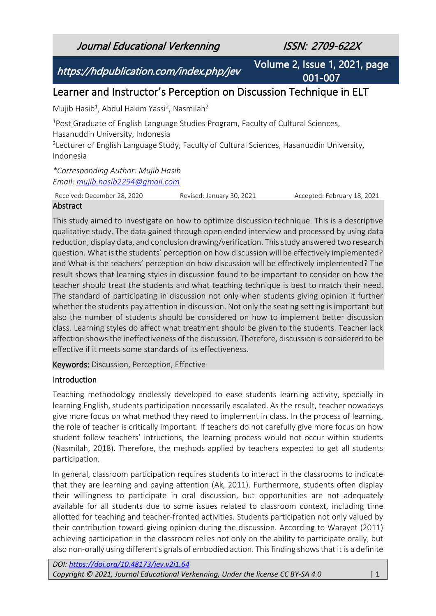Journal Educational Verkenning ISSN: 2709-622X

https://hdpublication.com/index.php/jev

Volume 2, Issue 1, 2021, page 001-007

# Learner and Instructor's Perception on Discussion Technique in ELT

Mujib Hasib<sup>1</sup>, Abdul Hakim Yassi<sup>2</sup>, Nasmilah<sup>2</sup>

<sup>1</sup>Post Graduate of English Language Studies Program, Faculty of Cultural Sciences, Hasanuddin University, Indonesia

<sup>2</sup> Lecturer of English Language Study, Faculty of Cultural Sciences, Hasanuddin University, Indonesia

*\*Corresponding Author: Mujib Hasib Email: [mujib.hasib2294@gmail.com](mailto:mujib.hasib2294@gmail.com)*

Received: December 28, 2020 Revised: January 30, 2021 Accepted: February 18, 2021

## **Abstract**

This study aimed to investigate on how to optimize discussion technique. This is a descriptive qualitative study. The data gained through open ended interview and processed by using data reduction, display data, and conclusion drawing/verification. This study answered two research question. What is the students' perception on how discussion will be effectively implemented? and What is the teachers' perception on how discussion will be effectively implemented? The result shows that learning styles in discussion found to be important to consider on how the teacher should treat the students and what teaching technique is best to match their need. The standard of participating in discussion not only when students giving opinion it further whether the students pay attention in discussion. Not only the seating setting is important but also the number of students should be considered on how to implement better discussion class. Learning styles do affect what treatment should be given to the students. Teacher lack affection shows the ineffectiveness of the discussion. Therefore, discussion is considered to be effective if it meets some standards of its effectiveness.

Keywords: Discussion, Perception, Effective

## Introduction

Teaching methodology endlessly developed to ease students learning activity, specially in learning English, students participation necessarily escalated. As the result, teacher nowadays give more focus on what method they need to implement in class. In the process of learning, the role of teacher is critically important. If teachers do not carefully give more focus on how student follow teachers' intructions, the learning process would not occur within students (Nasmilah, 2018). Therefore, the methods applied by teachers expected to get all students participation.

In general, classroom participation requires students to interact in the classrooms to indicate that they are learning and paying attention (Ak, 2011). Furthermore, students often display their willingness to participate in oral discussion, but opportunities are not adequately available for all students due to some issues related to classroom context, including time allotted for teaching and teacher-fronted activities. Students participation not only valued by their contribution toward giving opinion during the discussion. According to Warayet (2011) achieving participation in the classroom relies not only on the ability to participate orally, but also non-orally using different signals of embodied action. This finding shows that it is a definite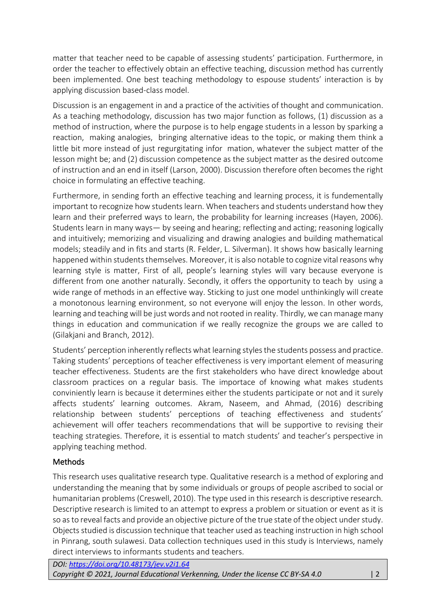matter that teacher need to be capable of assessing students' participation. Furthermore, in order the teacher to effectively obtain an effective teaching, discussion method has currently been implemented. One best teaching methodology to espouse students' interaction is by applying discussion based-class model.

Discussion is an engagement in and a practice of the activities of thought and communication. As a teaching methodology, discussion has two major function as follows, (1) discussion as a method of instruction, where the purpose is to help engage students in a lesson by sparking a reaction, making analogies, bringing alternative ideas to the topic, or making them think a little bit more instead of just regurgitating infor mation, whatever the subject matter of the lesson might be; and (2) discussion competence as the subject matter as the desired outcome of instruction and an end in itself (Larson, 2000). Discussion therefore often becomes the right choice in formulating an effective teaching.

Furthermore, in sending forth an effective teaching and learning process, it is fundementally important to recognize how students learn. When teachers and students understand how they learn and their preferred ways to learn, the probability for learning increases (Hayen, 2006). Students learn in many ways— by seeing and hearing; reflecting and acting; reasoning logically and intuitively; memorizing and visualizing and drawing analogies and building mathematical models; steadily and in fits and starts (R. Felder, L. Silverman). It shows how basically learning happened within students themselves. Moreover, it is also notable to cognize vital reasons why learning style is matter, First of all, people's learning styles will vary because everyone is different from one another naturally. Secondly, it offers the opportunity to teach by using a wide range of methods in an effective way. Sticking to just one model unthinkingly will create a monotonous learning environment, so not everyone will enjoy the lesson. In other words, learning and teaching will be just words and not rooted in reality. Thirdly, we can manage many things in education and communication if we really recognize the groups we are called to (Gilakjani and Branch, 2012).

Students' perception inherently reflects what learning styles the students possess and practice. Taking students' perceptions of teacher effectiveness is very important element of measuring teacher effectiveness. Students are the first stakeholders who have direct knowledge about classroom practices on a regular basis. The importace of knowing what makes students conviniently learn is because it determines either the students participate or not and it surely affects students' learning outcomes. Akram, Naseem, and Ahmad, (2016) describing relationship between students' perceptions of teaching effectiveness and students' achievement will offer teachers recommendations that will be supportive to revising their teaching strategies. Therefore, it is essential to match students' and teacher's perspective in applying teaching method.

## **Methods**

This research uses qualitative research type. Qualitative research is a method of exploring and understanding the meaning that by some individuals or groups of people ascribed to social or humanitarian problems (Creswell, 2010). The type used in this research is descriptive research. Descriptive research is limited to an attempt to express a problem or situation or event as it is so as to reveal facts and provide an objective picture of the true state of the object under study. Objects studied is discussion technique that teacher used as teaching instruction in high school in Pinrang, south sulawesi. Data collection techniques used in this study is Interviews, namely direct interviews to informants students and teachers.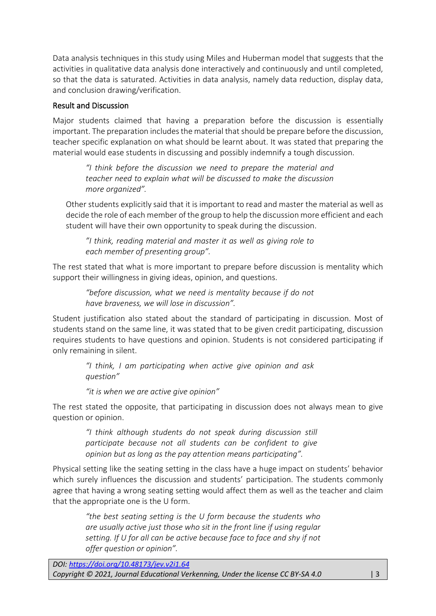Data analysis techniques in this study using Miles and Huberman model that suggests that the activities in qualitative data analysis done interactively and continuously and until completed, so that the data is saturated. Activities in data analysis, namely data reduction, display data, and conclusion drawing/verification.

# Result and Discussion

Major students claimed that having a preparation before the discussion is essentially important. The preparation includes the material that should be prepare before the discussion, teacher specific explanation on what should be learnt about. It was stated that preparing the material would ease students in discussing and possibly indemnify a tough discussion.

*"I think before the discussion we need to prepare the material and teacher need to explain what will be discussed to make the discussion more organized".*

Other students explicitly said that it is important to read and master the material as well as decide the role of each member of the group to help the discussion more efficient and each student will have their own opportunity to speak during the discussion.

*"I think, reading material and master it as well as giving role to each member of presenting group".*

The rest stated that what is more important to prepare before discussion is mentality which support their willingness in giving ideas, opinion, and questions.

*"before discussion, what we need is mentality because if do not have braveness, we will lose in discussion".*

Student justification also stated about the standard of participating in discussion. Most of students stand on the same line, it was stated that to be given credit participating, discussion requires students to have questions and opinion. Students is not considered participating if only remaining in silent.

*"I think, I am participating when active give opinion and ask question"*

*"it is when we are active give opinion"*

The rest stated the opposite, that participating in discussion does not always mean to give question or opinion.

*"I think although students do not speak during discussion still participate because not all students can be confident to give opinion but as long as the pay attention means participating".*

Physical setting like the seating setting in the class have a huge impact on students' behavior which surely influences the discussion and students' participation. The students commonly agree that having a wrong seating setting would affect them as well as the teacher and claim that the appropriate one is the U form.

*"the best seating setting is the U form because the students who are usually active just those who sit in the front line if using regular setting. If U for all can be active because face to face and shy if not offer question or opinion".*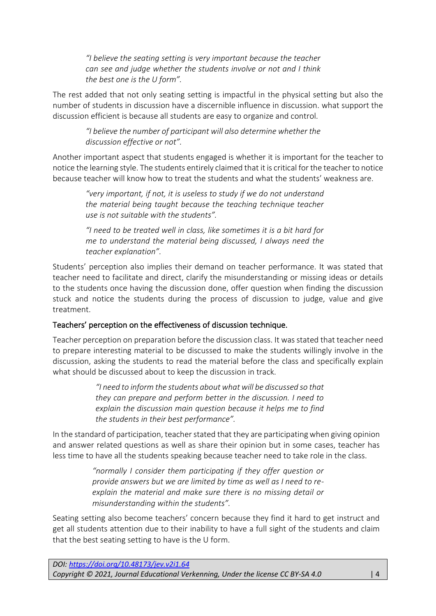*"I believe the seating setting is very important because the teacher can see and judge whether the students involve or not and I think the best one is the U form".* 

The rest added that not only seating setting is impactful in the physical setting but also the number of students in discussion have a discernible influence in discussion. what support the discussion efficient is because all students are easy to organize and control.

*"I believe the number of participant will also determine whether the discussion effective or not".*

Another important aspect that students engaged is whether it is important for the teacher to notice the learning style. The students entirely claimed that it is critical for the teacher to notice because teacher will know how to treat the students and what the students' weakness are.

*"very important, if not, it is useless to study if we do not understand the material being taught because the teaching technique teacher use is not suitable with the students".*

*"I need to be treated well in class, like sometimes it is a bit hard for me to understand the material being discussed, I always need the teacher explanation".*

Students' perception also implies their demand on teacher performance. It was stated that teacher need to facilitate and direct, clarify the misunderstanding or missing ideas or details to the students once having the discussion done, offer question when finding the discussion stuck and notice the students during the process of discussion to judge, value and give treatment.

## Teachers' perception on the effectiveness of discussion technique.

Teacher perception on preparation before the discussion class. It was stated that teacher need to prepare interesting material to be discussed to make the students willingly involve in the discussion, asking the students to read the material before the class and specifically explain what should be discussed about to keep the discussion in track.

> *"I need to inform the students about what will be discussed so that they can prepare and perform better in the discussion. I need to explain the discussion main question because it helps me to find the students in their best performance".*

In the standard of participation, teacher stated that they are participating when giving opinion and answer related questions as well as share their opinion but in some cases, teacher has less time to have all the students speaking because teacher need to take role in the class.

> *"normally I consider them participating if they offer question or provide answers but we are limited by time as well as I need to reexplain the material and make sure there is no missing detail or misunderstanding within the students".*

Seating setting also become teachers' concern because they find it hard to get instruct and get all students attention due to their inability to have a full sight of the students and claim that the best seating setting to have is the U form.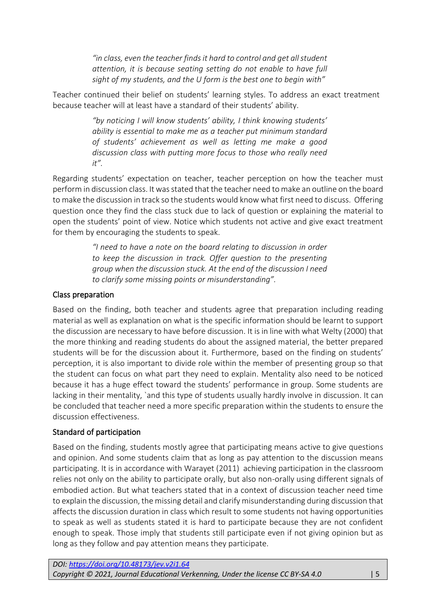*"in class, even the teacher finds it hard to control and get all student attention, it is because seating setting do not enable to have full sight of my students, and the U form is the best one to begin with"*

Teacher continued their belief on students' learning styles. To address an exact treatment because teacher will at least have a standard of their students' ability.

> *"by noticing I will know students' ability, I think knowing students' ability is essential to make me as a teacher put minimum standard of students' achievement as well as letting me make a good discussion class with putting more focus to those who really need it".*

Regarding students' expectation on teacher, teacher perception on how the teacher must perform in discussion class. It was stated that the teacher need to make an outline on the board to make the discussion in track so the students would know what first need to discuss. Offering question once they find the class stuck due to lack of question or explaining the material to open the students' point of view. Notice which students not active and give exact treatment for them by encouraging the students to speak.

> *"I need to have a note on the board relating to discussion in order to keep the discussion in track. Offer question to the presenting group when the discussion stuck. At the end of the discussion I need to clarify some missing points or misunderstanding".*

## Class preparation

Based on the finding, both teacher and students agree that preparation including reading material as well as explanation on what is the specific information should be learnt to support the discussion are necessary to have before discussion. It is in line with what Welty (2000) that the more thinking and reading students do about the assigned material, the better prepared students will be for the discussion about it. Furthermore, based on the finding on students' perception, it is also important to divide role within the member of presenting group so that the student can focus on what part they need to explain. Mentality also need to be noticed because it has a huge effect toward the students' performance in group. Some students are lacking in their mentality, `and this type of students usually hardly involve in discussion. It can be concluded that teacher need a more specific preparation within the students to ensure the discussion effectiveness.

## Standard of participation

Based on the finding, students mostly agree that participating means active to give questions and opinion. And some students claim that as long as pay attention to the discussion means participating. It is in accordance with Warayet (2011) achieving participation in the classroom relies not only on the ability to participate orally, but also non-orally using different signals of embodied action. But what teachers stated that in a context of discussion teacher need time to explain the discussion, the missing detail and clarify misunderstanding during discussion that affects the discussion duration in class which result to some students not having opportunities to speak as well as students stated it is hard to participate because they are not confident enough to speak. Those imply that students still participate even if not giving opinion but as long as they follow and pay attention means they participate.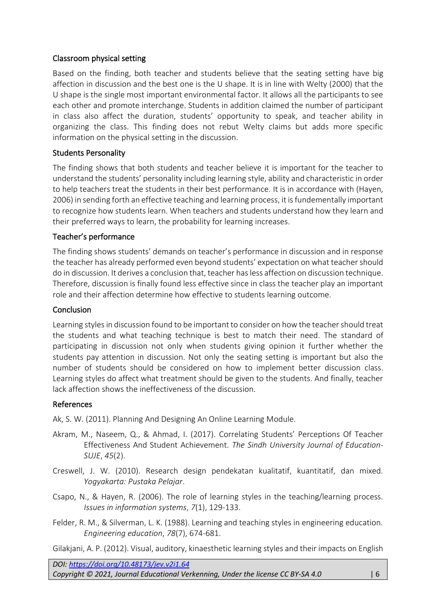## Classroom physical setting

Based on the finding, both teacher and students believe that the seating setting have big affection in discussion and the best one is the U shape. It is in line with Welty (2000) that the U shape is the single most important environmental factor. It allows all the participants to see each other and promote interchange. Students in addition claimed the number of participant in class also affect the duration, students' opportunity to speak, and teacher ability in organizing the class. This finding does not rebut Welty claims but adds more specific information on the physical setting in the discussion.

## Students Personality

The finding shows that both students and teacher believe it is important for the teacher to understand the students' personality including learning style, ability and characteristic in order to help teachers treat the students in their best performance. It is in accordance with (Hayen, 2006) in sending forth an effective teaching and learning process, it is fundementally important to recognize how students learn. When teachers and students understand how they learn and their preferred ways to learn, the probability for learning increases.

## Teacher's performance

The finding shows students' demands on teacher's performance in discussion and in response the teacher has already performed even beyond students' expectation on what teacher should do in discussion. It derives a conclusion that, teacher has less affection on discussion technique. Therefore, discussion is finally found less effective since in class the teacher play an important role and their affection determine how effective to students learning outcome.

## **Conclusion**

Learning styles in discussion found to be important to consider on how the teacher should treat the students and what teaching technique is best to match their need. The standard of participating in discussion not only when students giving opinion it further whether the students pay attention in discussion. Not only the seating setting is important but also the number of students should be considered on how to implement better discussion class. Learning styles do affect what treatment should be given to the students. And finally, teacher lack affection shows the ineffectiveness of the discussion.

## References

Ak, S. W. (2011). Planning And Designing An Online Learning Module.

- Akram, M., Naseem, Q., & Ahmad, I. (2017). Correlating Students' Perceptions Of Teacher Effectiveness And Student Achievement. *The Sindh University Journal of Education-SUJE*, *45*(2).
- Creswell, J. W. (2010). Research design pendekatan kualitatif, kuantitatif, dan mixed. *Yogyakarta: Pustaka Pelajar*.
- Csapo, N., & Hayen, R. (2006). The role of learning styles in the teaching/learning process. *Issues in information systems*, *7*(1), 129-133.
- Felder, R. M., & Silverman, L. K. (1988). Learning and teaching styles in engineering education. *Engineering education*, *78*(7), 674-681.

Gilakjani, A. P. (2012). Visual, auditory, kinaesthetic learning styles and their impacts on English

*DOI: <https://doi.org/10.48173/jev.v2i1.64> Copyright © 2021, Journal Educational Verkenning, Under the license CC BY-SA 4.0* | 6